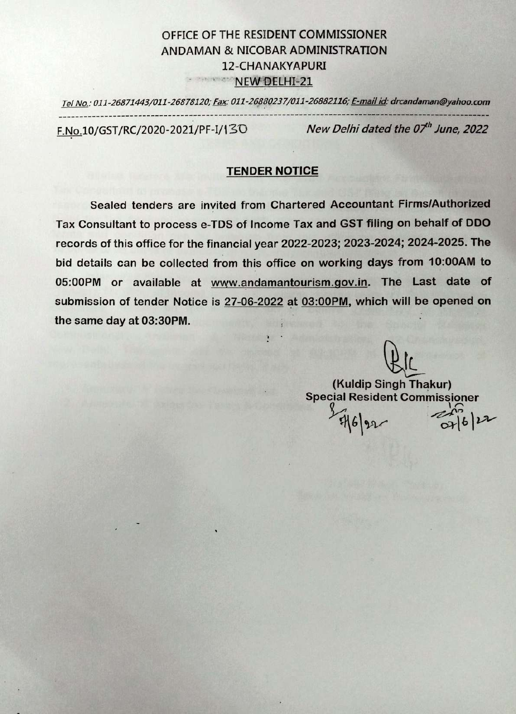# OFFICE OF THE RESIDENT COMMISSIONER ANDAMAN & NICOBAR ADMINISTRATION 12-CHANAKYAPURI **PERIODEL AT A NEW DELHI-21**

Tel No.: 011-26871443/011-26878120; Fax: 011-26880237/011-26882116; E-mail id: drcandaman@yahoo.com F.No.10/GST/RC/2020-2021/PF-1/130 New Delhi dated the 07" June, 2022

## TENDER NOTICE

Sealed tenders are invited from Chartered Accountant Firms/Authorized Tax Consultant to process e-TDS of Income Tax and GST filing on behalf of DDO records of this office for the financial year 2022-2023; 2023-2024; 2024-2025. The bid details can be collected from this office on working days from 10:00AM to 05:00PM or available at www.andamantourism.gov.in. The Last date of submission of tender Notice is 27-06-2022 at 03:00PM, which will be opened on the same day at 03:30PM.

> (Kuldip Singh Thakur) Special Resident Commissioner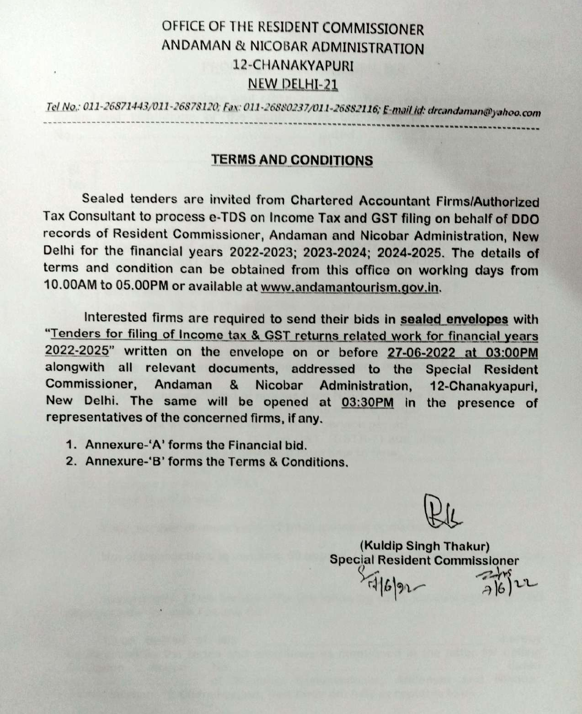# OFFICE OF THE RESIDENT COMMISSIONER ANDAMAN & NICOBAR ADMINISTRATION 12-CHANAKYAPURI NEW DELHl-21

Tel No: 011-26871443/011-26878120; Fax: 011-26880237/011-26882116; E-mail id: drcandaman@yahoo

# TERMS AND CONDITIONS

Sealed tenders are invited from Chartered Accountant Firms/Authorized Tax Consultant to process e-TDS on Income Tax and GST filing on behalf of DDo records of Resident Commissioner, Andaman and Nicobar Administration, New Delhi for the financial years 2022-2023; 2023-2024; 2024-2025. The details of terms and condition can be obtained from this office on working days from 10.00AM to 05.00PM or available at www.andamantourism.gov.in.

Interested firms are required to send their bids in sealed envelopes with<br>"Tenders for filing of Income tax & GST returns related work for financial years" 2022-2025" written on the envelope on or before 27-06-2022 at 03:00PM alongwith all relevant documents, addressed to the Special Resident Commissioner, Andaman & Nicobar Administration, 12-Chanakyapuri, New Delhi. The same will be opened at 03:30PM in the presence of representatives of the concerned firms, if any.

- 1. Annexure-'A' forms the Financial bid.
- 2. Annexure-'B' forms the Terms & Conditions.

PLL

(Kuldip Singh Thakur) Special Resident Commissioner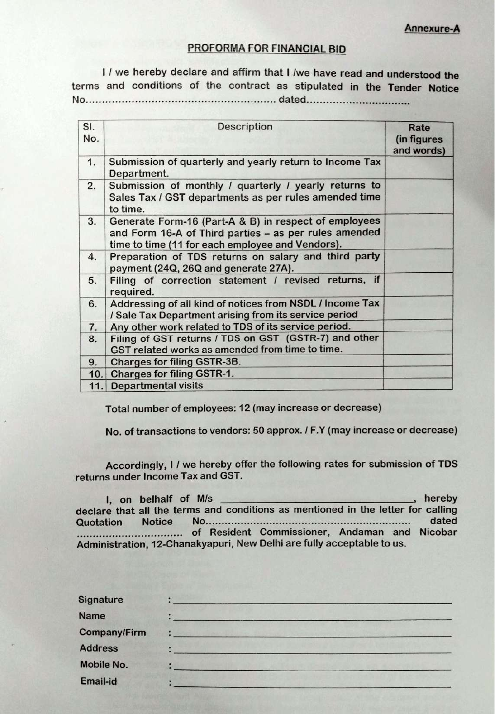Annexure-A

### PROFORMA FOR FINANCIAL BID

I / we hereby declare and affirm that I /we have read and understood the terms and conditions of the contract as stipulated in the Tender Notice No... dated..

| SI.<br>No. | <b>Description</b>                                                                                                                                                 | Rate<br>(in figures<br>and words) |
|------------|--------------------------------------------------------------------------------------------------------------------------------------------------------------------|-----------------------------------|
| 1.         | Submission of quarterly and yearly return to Income Tax<br>Department.                                                                                             |                                   |
| 2.         | Submission of monthly / quarterly / yearly returns to<br>Sales Tax / GST departments as per rules amended time<br>to time.                                         |                                   |
| 3.         | Generate Form-16 (Part-A & B) in respect of employees<br>and Form 16-A of Third parties - as per rules amended<br>time to time (11 for each employee and Vendors). |                                   |
| 4.         | Preparation of TDS returns on salary and third party<br>payment (24Q, 26Q and generate 27A).                                                                       |                                   |
| 5.         | Filing of correction statement / revised returns, if<br>required.                                                                                                  |                                   |
| 6.         | Addressing of all kind of notices from NSDL / Income Tax<br>/ Sale Tax Department arising from its service period                                                  |                                   |
| 7.         | Any other work related to TDS of its service period.                                                                                                               |                                   |
| 8.         | Filing of GST returns / TDS on GST (GSTR-7) and other<br>GST related works as amended from time to time.                                                           |                                   |
| 9.         | <b>Charges for filing GSTR-3B.</b>                                                                                                                                 |                                   |
| 10.        | <b>Charges for filing GSTR-1.</b>                                                                                                                                  |                                   |
| 11.1       | <b>Departmental visits</b>                                                                                                                                         |                                   |

Total number of employees: 12 (may increase or decrease)

No. of transactions to vendors: 50 approx. I F.Y (may increase or decrease)

Accordingly, I / we hereby offer the following rates for submission of TDS returns under Income Tax and GST.

hereby declare that all the terms and conditions as mentioned in the letter for calling 1, on belhalf of M/s Quotation Notice No......................... ... of Resident Commissioner, Andaman and Nicobar \*eeo\*eeeo\*\*\*.\*\*\* Administration, 12-Chanakyapuri, New Delhi are fully acceptable to us.

| Signature           |                   |
|---------------------|-------------------|
| <b>Name</b>         |                   |
| <b>Company/Firm</b> | Albert Lundelling |
| <b>Address</b>      |                   |
| Mobile No.          | <b>TANK</b>       |
| Email-id            |                   |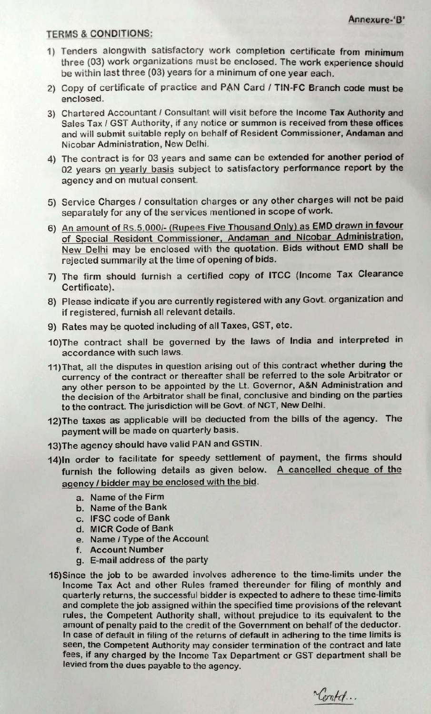#### TERMS&CONDITIONS:

- 1) Tenders alongwith satisfactory work completion certificate from minimum three (03) work organizations must be enclosed. The work experience should be within last three (03) years for a minimum of one year each.
- 2) Copy of certificate of practice and PAN Card / TIN-FC Branch code must be enclosed.
- 3) Chartered Accountant / Consultant will visit before the Income Tax Authority and Sales Tax / GST Authority, if any notice or summon is received from these offices and will submit suitable reply on behalf of Resident Commissioner, Andaman and Nicobar Administration, New Delhi.
- 4) The contract is for 03 years and same can be extended for another period of 02 years on yearly basis subject to satisfactory performance report by the agency and on mutual consent.
- 5) Service Charges / consultation charges or any other charges will not be paid separately for any of the services mentioned in scope of work.
- 6) An amount of Rs.5,000/- (Rupees Five Thousand Only) as EMD drawn in favour of Special Resident Commissioner, Andaman and Nicobar Administration, New Delhi may be enclosed with the quotation. Bids without EMD shall be rejected summarily at the time of opening of bids.
- 7) The firm should furnish a certified copy of ITCC (Income Tax Clearance Certificate).
- 8) Please indicate if you are currently registered with any Govt. organization and if registered, furnish all relevant details.
- 9) Rates may be quoted including of all Taxes, GST, etc.
- 10)The contract shall be governed by the laws of India and interpreted in accordance with such laws.
- 11) That, all the disputes in question arising out of this contract whether during the currency of the contract or thereafter shall be referred to the sole Arbitrator or any other person to be appointed by the Lt. Governor, A&N Administration and the decision of the Arbitrator shall be final, conclusive and binding on the parties to the contract. The jurisdiction will be Govt. of NCT, New Delhi.
- 12)The taxes as applicable will be deducted from the bills of the agency. The payment will be made on quarterly basis.
- 13)The agency should have valid PAN and GSTIN
- 14)In order to facilitate for speedy settlement of payment, the firms should furnish the following details as given below. A cancelled cheque of the agency / bidder may be enclosed with the bid.
	- a. Name of the Firm
	- b. Name of the Bank
	- c. IFSC code of Bank
	- d. MICR Code of Bank
	- e. Name/ Type of the Account
	- f. Account Number
	- g. E-mail address of the party
- 15) Since the job to be awarded involves adherence to the time-limits under the Income Tax Act and other Rules framed thereunder for filing of monthly and quarterly returns, the successful bidder is expected to adhere to these time-limits and complete the job assigned within the specified time provisions of the relevant rules, the Competent Authority shall, without prejudice to its equivalent to the amount of penalty paid to the credit of the Government on behalf of the deductor. In case of default in filing of the returns of default in adhering to the time limits is seen, the Competent Authority may consider termination of the contract and late fees, if any charged by the Income Tax Department or GST department shall be levied from the dues payable to the agency.

Lontch.